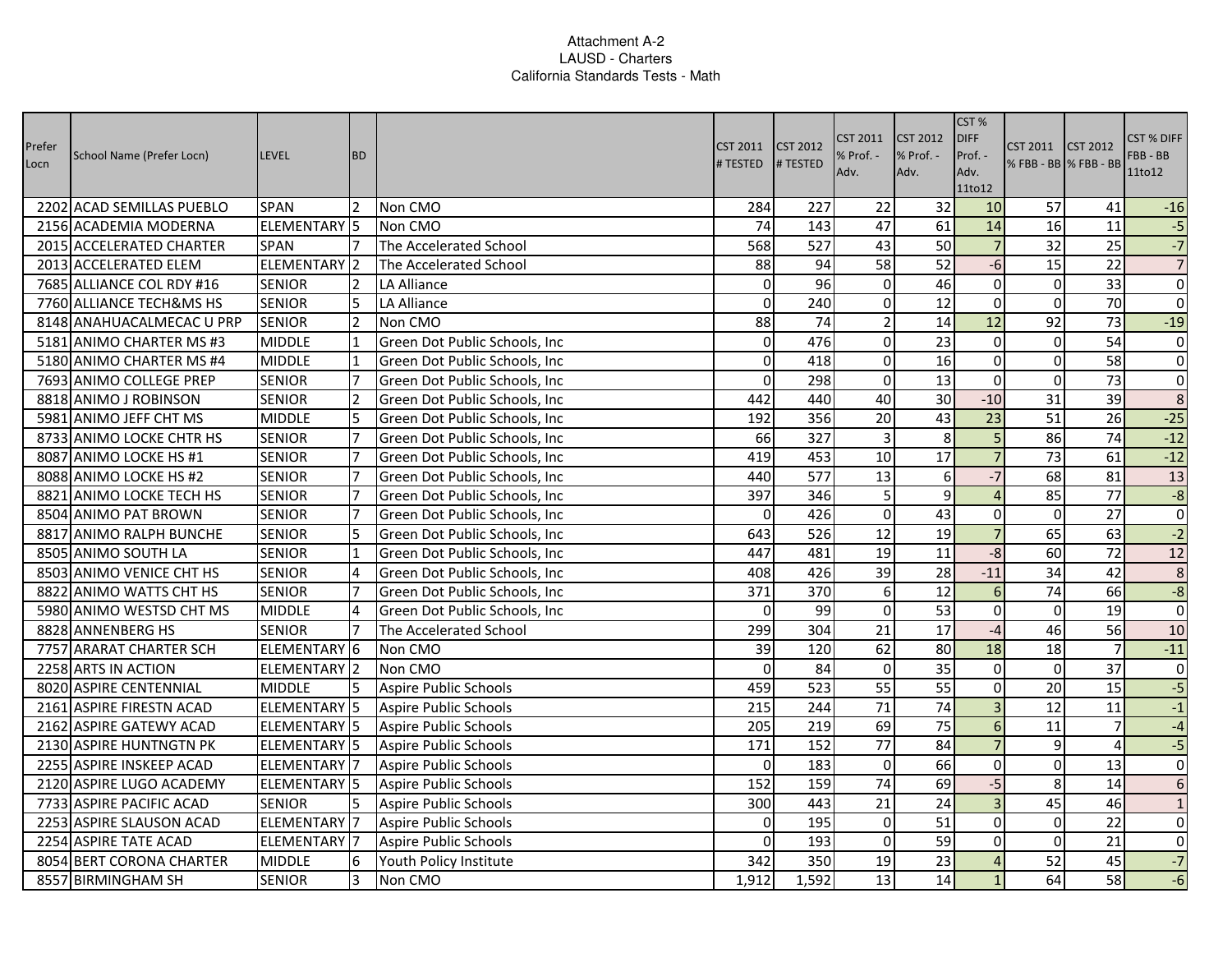| Prefer<br>Locn | School Name (Prefer Locn) | <b>LEVEL</b>        | <b>BD</b>      |                                      | <b>CST 2011</b><br># TESTED | <b>CST 2012</b><br># TESTED | CST 2011<br>Adv. | <b>CST 2012</b><br>% Prof. -<br>Adv. | CST %<br><b>DIFF</b><br>Prof. -<br>Adv.<br>11to12 | <b>CST 2011</b><br>% FBB - BB % FBB - BB | <b>CST 2012</b> | CST % DIFF<br>FBB - BB<br>11to12 |
|----------------|---------------------------|---------------------|----------------|--------------------------------------|-----------------------------|-----------------------------|------------------|--------------------------------------|---------------------------------------------------|------------------------------------------|-----------------|----------------------------------|
|                | 2202 ACAD SEMILLAS PUEBLO | <b>SPAN</b>         | <b>2</b>       | Non CMO                              | 284                         | 227                         | 22               | 32                                   | 10                                                | 57                                       | 41              | $-16$                            |
|                | 2156 ACADEMIA MODERNA     | ELEMENTARY 5        |                | Non CMO                              | 74                          | 143                         | 47               | 61                                   | 14                                                | 16                                       | $\overline{11}$ | $-5$                             |
|                | 2015 ACCELERATED CHARTER  | <b>SPAN</b>         | 17             | The Accelerated School               | 568                         | 527                         | 43               | 50                                   | $\overline{7}$                                    | 32                                       | 25              | $-7$                             |
|                | 2013 ACCELERATED ELEM     | ELEMENTARY 2        |                | The Accelerated School               | 88                          | 94                          | 58               | 52                                   | $-6$                                              | 15                                       | 22              | $\overline{7}$                   |
|                | 7685 ALLIANCE COL RDY #16 | <b>SENIOR</b>       | 2              | LA Alliance                          | $\Omega$                    | 96                          | $\overline{0}$   | 46                                   | $\Omega$                                          | $\overline{0}$                           | 33              | $\pmb{0}$                        |
|                | 7760 ALLIANCE TECH&MS HS  | <b>SENIOR</b>       | 5              | LA Alliance                          | $\mathbf 0$                 | 240                         | $\Omega$         | 12                                   | $\mathbf 0$                                       | $\Omega$                                 | 70              | $\boldsymbol{0}$                 |
|                | 8148 ANAHUACALMECAC U PRP | <b>SENIOR</b>       | $\overline{2}$ | Non CMO                              | 88                          | 74                          | $\overline{2}$   | 14                                   | 12                                                | $\overline{92}$                          | $\overline{73}$ | $-19$                            |
|                | 5181 ANIMO CHARTER MS #3  | <b>MIDDLE</b>       | 11             | Green Dot Public Schools, Inc        | $\mathbf 0$                 | 476                         | $\overline{0}$   | 23                                   | $\overline{0}$                                    | $\overline{0}$                           | 54              | $\pmb{0}$                        |
|                | 5180 ANIMO CHARTER MS #4  | <b>MIDDLE</b>       | 11             | Green Dot Public Schools, Inc.       | 0                           | 418                         | $\overline{0}$   | 16                                   | $\mathbf 0$                                       | $\overline{0}$                           | 58              | $\pmb{0}$                        |
|                | 7693 ANIMO COLLEGE PREP   | <b>SENIOR</b>       | $\overline{7}$ | Green Dot Public Schools, Inc.       | $\Omega$                    | 298                         | $\Omega$         | $\overline{13}$                      | $\overline{0}$                                    | $\Omega$                                 | $\overline{73}$ | $\pmb{0}$                        |
|                | 8818 ANIMO J ROBINSON     | <b>SENIOR</b>       | $\overline{2}$ | Green Dot Public Schools, Inc        | 442                         | 440                         | 40               | 30                                   | $-10$                                             | $\overline{31}$                          | $\overline{39}$ | $\overline{8}$                   |
|                | 5981 ANIMO JEFF CHT MS    | <b>MIDDLE</b>       | 5              | Green Dot Public Schools, Inc        | 192                         | 356                         | 20               | 43                                   | $\overline{23}$                                   | 51                                       | 26              | $-25$                            |
|                | 8733 ANIMO LOCKE CHTR HS  | <b>SENIOR</b>       | 17             | Green Dot Public Schools, Inc        | 66                          | 327                         | $\overline{3}$   | 8                                    | $\overline{5}$                                    | 86                                       | 74              | $-12$                            |
|                | 8087 ANIMO LOCKE HS #1    | <b>SENIOR</b>       | 7              | Green Dot Public Schools, Inc.       | 419                         | 453                         | 10               | $\overline{17}$                      | $\overline{7}$                                    | 73                                       | 61              | $-12$                            |
|                | 8088 ANIMO LOCKE HS #2    | <b>SENIOR</b>       | 7              | <b>Green Dot Public Schools, Inc</b> | 440                         | 577                         | 13               | 6                                    | $-7$                                              | 68                                       | 81              | 13                               |
|                | 8821 ANIMO LOCKE TECH HS  | <b>SENIOR</b>       | 17             | Green Dot Public Schools, Inc.       | 397                         | 346                         | 5 <sup>1</sup>   | 9                                    | $\overline{4}$                                    | 85                                       | $\overline{77}$ | $-8$                             |
|                | 8504 ANIMO PAT BROWN      | <b>SENIOR</b>       | $\overline{7}$ | Green Dot Public Schools, Inc        | $\mathbf 0$                 | 426                         | $\overline{0}$   | 43                                   | $\overline{0}$                                    | $\mathbf 0$                              | 27              | $\pmb{0}$                        |
|                | 8817 ANIMO RALPH BUNCHE   | <b>SENIOR</b>       | 5              | Green Dot Public Schools, Inc        | 643                         | 526                         | 12               | 19                                   | $\overline{7}$                                    | 65                                       | 63              | $-2$                             |
|                | 8505 ANIMO SOUTH LA       | <b>SENIOR</b>       | 11             | Green Dot Public Schools, Inc.       | 447                         | 481                         | 19               | 11                                   | $-8$                                              | 60                                       | $\overline{72}$ | 12                               |
|                | 8503 ANIMO VENICE CHT HS  | <b>SENIOR</b>       | 4              | Green Dot Public Schools, Inc.       | 408                         | 426                         | 39               | 28                                   | $-11$                                             | 34                                       | 42              | $\,$ 8 $\,$                      |
|                | 8822 ANIMO WATTS CHT HS   | <b>SENIOR</b>       |                | Green Dot Public Schools, Inc.       | 371                         | 370                         | $6 \mid$         | 12                                   | 6                                                 | 74                                       | 66              | $-8$                             |
|                | 5980 ANIMO WESTSD CHT MS  | <b>MIDDLE</b>       |                | Green Dot Public Schools, Inc.       | $\mathbf 0$                 | 99                          | $\overline{0}$   | $\overline{53}$                      | $\mathbf 0$                                       | $\mathbf 0$                              | $\overline{19}$ | $\overline{0}$                   |
|                | 8828 ANNENBERG HS         | <b>SENIOR</b>       | 7              | The Accelerated School               | 299                         | 304                         | 21               | 17                                   | $-4$                                              | 46                                       | 56              | 10                               |
|                | 7757 ARARAT CHARTER SCH   | ELEMENTARY 6        |                | Non CMO                              | 39                          | 120                         | 62               | 80                                   | 18                                                | 18                                       | $\overline{7}$  | $-11$                            |
|                | 2258 ARTS IN ACTION       | ELEMENTARY 2        |                | Non CMO                              | $\mathbf 0$                 | 84                          | $\overline{0}$   | 35                                   | $\overline{0}$                                    | $\overline{0}$                           | $\overline{37}$ | $\pmb{0}$                        |
|                | 8020 ASPIRE CENTENNIAL    | <b>MIDDLE</b>       | 15             | Aspire Public Schools                | 459                         | 523                         | 55               | 55                                   | $\overline{0}$                                    | 20                                       | 15              | $-5$                             |
|                | 2161 ASPIRE FIRESTN ACAD  | ELEMENTARY 5        |                | Aspire Public Schools                | 215                         | 244                         | $\overline{71}$  | $\overline{74}$                      | $\overline{3}$                                    | $\overline{12}$                          | $\overline{11}$ | $-1$                             |
|                | 2162 ASPIRE GATEWY ACAD   | ELEMENTARY 5        |                | Aspire Public Schools                | 205                         | 219                         | 69               | 75                                   | $6 \overline{6}$                                  | 11                                       | $\overline{7}$  | $-4$                             |
|                | 2130 ASPIRE HUNTNGTN PK   | ELEMENTARY 5        |                | Aspire Public Schools                | 171                         | 152                         | $\overline{77}$  | 84                                   | $\overline{7}$                                    | 9                                        | $\overline{4}$  | $-5$                             |
|                | 2255 ASPIRE INSKEEP ACAD  | ELEMENTARY 7        |                | Aspire Public Schools                | $\mathbf{0}$                | 183                         | $\overline{0}$   | 66                                   | $\mathbf 0$                                       | $\mathbf 0$                              | 13              | $\pmb{0}$                        |
|                | 2120 ASPIRE LUGO ACADEMY  | <b>ELEMENTARY 5</b> |                | Aspire Public Schools                | 152                         | 159                         | 74               | 69                                   | $-5$                                              | 8 <sup>1</sup>                           | 14              | $\overline{6}$                   |
|                | 7733 ASPIRE PACIFIC ACAD  | <b>SENIOR</b>       | 5              | Aspire Public Schools                | 300                         | 443                         | 21               | 24                                   | $\overline{\mathbf{3}}$                           | 45                                       | 46              | $\mathbf 1$                      |
|                | 2253 ASPIRE SLAUSON ACAD  | ELEMENTARY 7        |                | Aspire Public Schools                | $\mathbf 0$                 | 195                         | $\overline{0}$   | 51                                   | $\overline{0}$                                    | $\mathbf 0$                              | $\overline{22}$ | $\pmb{0}$                        |
|                | 2254 ASPIRE TATE ACAD     | ELEMENTARY 7        |                | Aspire Public Schools                | $\Omega$                    | 193                         | $\Omega$         | 59                                   | $\mathbf 0$                                       | $\Omega$                                 | 21              | $\pmb{0}$                        |
|                | 8054 BERT CORONA CHARTER  | <b>MIDDLE</b>       | 16             | Youth Policy Institute               | 342                         | 350                         | 19               | 23                                   | $\overline{4}$                                    | 52                                       | 45              | $-7$                             |
|                | 8557 BIRMINGHAM SH        | <b>SENIOR</b>       | 3              | Non CMO                              | 1,912                       | 1,592                       | 13               | 14                                   | $\mathbf{1}$                                      | 64                                       | 58              | $-6$                             |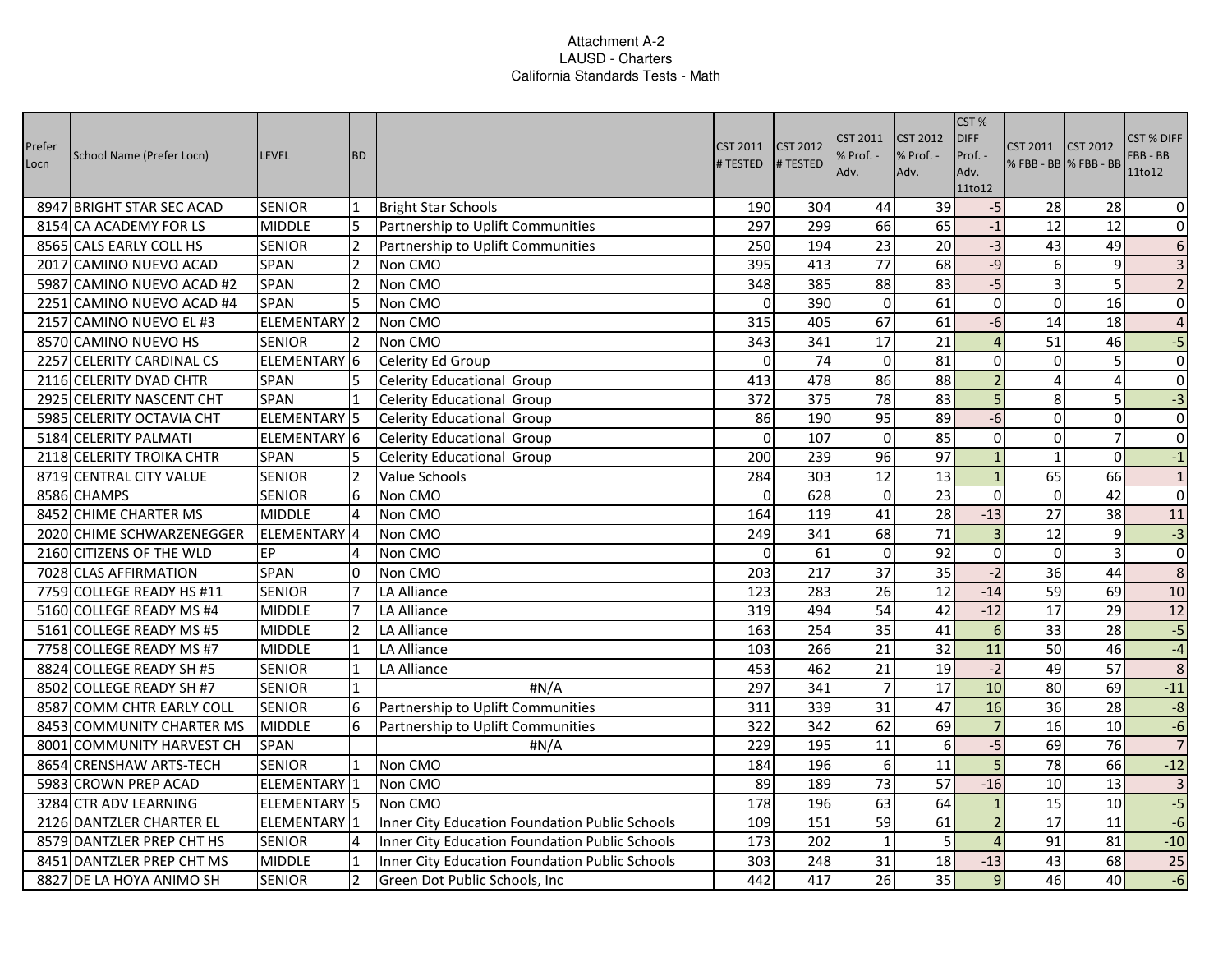| Prefer<br>Locn | School Name (Prefer Locn) | <b>LEVEL</b>            | <b>BD</b>      |                                                | <b>CST 2011</b><br># TESTED | <b>CST 2012</b><br># TESTED | <b>CST 2011</b><br>Adv. | <b>CST 2012</b><br>% Prof. -<br>Adv. | CST%<br><b>DIFF</b><br>Prof. -<br>Adv.<br>11to12 | CST 2011<br>% FBB - BB % FBB - BB | <b>CST 2012</b> | <b>CST % DIFF</b><br>FBB - BB<br>11to12 |
|----------------|---------------------------|-------------------------|----------------|------------------------------------------------|-----------------------------|-----------------------------|-------------------------|--------------------------------------|--------------------------------------------------|-----------------------------------|-----------------|-----------------------------------------|
|                | 8947 BRIGHT STAR SEC ACAD | <b>SENIOR</b>           | 1              | <b>Bright Star Schools</b>                     | 190                         | 304                         | 44                      | 39                                   | $-5$                                             | 28                                | 28              | $\boldsymbol{0}$                        |
|                | 8154 CA ACADEMY FOR LS    | <b>MIDDLE</b>           | 5              | Partnership to Uplift Communities              | 297                         | 299                         | 66                      | 65                                   | $-1$                                             | $\overline{12}$                   | $\overline{12}$ | $\mathbf 0$                             |
|                | 8565 CALS EARLY COLL HS   | <b>SENIOR</b>           |                | Partnership to Uplift Communities              | 250                         | 194                         | 23                      | 20                                   | $-3$                                             | 43                                | 49              | $\boldsymbol{6}$                        |
|                | 2017 CAMINO NUEVO ACAD    | <b>SPAN</b>             | $\overline{2}$ | Non CMO                                        | 395                         | 413                         | 77                      | 68                                   | $-9$                                             | <sup>6</sup>                      | $\overline{9}$  | $\overline{\mathbf{3}}$                 |
|                | 5987 CAMINO NUEVO ACAD #2 | <b>SPAN</b>             | $\overline{2}$ | Non CMO                                        | 348                         | 385                         | 88                      | 83                                   | $-5$                                             | $\overline{3}$                    | 5               | $\overline{2}$                          |
|                | 2251 CAMINO NUEVO ACAD #4 | <b>SPAN</b>             | 5              | Non CMO                                        | $\mathbf 0$                 | 390                         | $\Omega$                | 61                                   | $\overline{0}$                                   | $\Omega$                          | 16              | $\mathbf 0$                             |
|                | 2157 CAMINO NUEVO EL #3   | ELEMENTARY <sup>2</sup> |                | Non CMO                                        | 315                         | 405                         | 67                      | $\overline{61}$                      | $-6$                                             | 14                                | 18              | $\overline{4}$                          |
|                | 8570 CAMINO NUEVO HS      | <b>SENIOR</b>           | <b>2</b>       | Non CMO                                        | 343                         | 341                         | 17                      | 21                                   | $\overline{4}$                                   | 51                                | 46              | $-5$                                    |
|                | 2257 CELERITY CARDINAL CS | ELEMENTARY 6            |                | Celerity Ed Group                              | 0                           | 74                          | $\Omega$                | 81                                   | $\overline{0}$                                   | $\overline{0}$                    | 5               | $\pmb{0}$                               |
|                | 2116 CELERITY DYAD CHTR   | SPAN                    | 5              | Celerity Educational Group                     | 413                         | 478                         | 86                      | 88                                   | $\overline{2}$                                   | $\overline{4}$                    | $\overline{4}$  | $\overline{0}$                          |
|                | 2925 CELERITY NASCENT CHT | SPAN                    | 1              | Celerity Educational Group                     | 372                         | 375                         | $\overline{78}$         | 83                                   | 5                                                | 8                                 | 5               | $-3$                                    |
|                | 5985 CELERITY OCTAVIA CHT | ELEMENTARY <sup>5</sup> |                | Celerity Educational Group                     | 86                          | 190                         | 95                      | 89                                   | $-6$                                             | $\Omega$                          | $\mathbf 0$     | $\overline{0}$                          |
|                | 5184 CELERITY PALMATI     | ELEMENTARY 6            |                | Celerity Educational Group                     | $\mathbf 0$                 | 107                         | $\overline{0}$          | 85                                   | $\overline{0}$                                   | $\overline{0}$                    | $\overline{7}$  | $\overline{0}$                          |
|                | 2118 CELERITY TROIKA CHTR | SPAN                    | 5              | Celerity Educational Group                     | $\overline{200}$            | 239                         | 96                      | 97                                   | $\mathbf{1}$                                     | $\mathbf{1}$                      | $\overline{0}$  | $-1$                                    |
|                | 8719 CENTRAL CITY VALUE   | <b>SENIOR</b>           | 2              | Value Schools                                  | 284                         | 303                         | 12                      | 13                                   | $\mathbf{1}$                                     | 65                                | 66              | $\mathbf{1}$                            |
|                | 8586 CHAMPS               | <b>SENIOR</b>           | 6              | Non CMO                                        | $\mathbf 0$                 | 628                         | $\overline{0}$          | $\overline{23}$                      | $\overline{0}$                                   | $\overline{0}$                    | $\overline{42}$ | $\pmb{0}$                               |
|                | 8452 CHIME CHARTER MS     | <b>MIDDLE</b>           | $\overline{4}$ | Non CMO                                        | 164                         | 119                         | 41                      | 28                                   | $-13$                                            | 27                                | 38              | 11                                      |
|                | 2020 CHIME SCHWARZENEGGER | ELEMENTARY 4            |                | Non CMO                                        | 249                         | 341                         | 68                      | 71                                   | $\overline{3}$                                   | 12                                | 9               | $-3$                                    |
|                | 2160 CITIZENS OF THE WLD  | EP                      |                | Non CMO                                        | $\mathbf 0$                 | 61                          | $\overline{0}$          | $\overline{92}$                      | $\overline{0}$                                   | $\overline{0}$                    | $\overline{3}$  | $\overline{0}$                          |
|                | 7028 CLAS AFFIRMATION     | SPAN                    | 0              | Non CMO                                        | 203                         | 217                         | 37                      | $\overline{35}$                      | $-2$                                             | 36                                | 44              | $\overline{8}$                          |
|                | 7759 COLLEGE READY HS #11 | <b>SENIOR</b>           | 7              | LA Alliance                                    | 123                         | 283                         | 26                      | 12                                   | $-14$                                            | 59                                | 69              | 10                                      |
|                | 5160 COLLEGE READY MS #4  | <b>MIDDLE</b>           | 7              | <b>LA Alliance</b>                             | 319                         | 494                         | 54                      | 42                                   | $-12$                                            | 17                                | $\overline{29}$ | $\overline{12}$                         |
|                | 5161 COLLEGE READY MS #5  | <b>MIDDLE</b>           | $\overline{2}$ | LA Alliance                                    | 163                         | 254                         | 35                      | 41                                   | $6 \overline{6}$                                 | 33                                | 28              | $-5$                                    |
|                | 7758 COLLEGE READY MS #7  | <b>MIDDLE</b>           | $\mathbf{1}$   | <b>LA Alliance</b>                             | 103                         | 266                         | 21                      | 32                                   | 11                                               | 50                                | 46              | $-4$                                    |
|                | 8824 COLLEGE READY SH #5  | <b>SENIOR</b>           | 1              | LA Alliance                                    | 453                         | 462                         | 21                      | 19                                   | $-2$                                             | 49                                | 57              | $\overline{8}$                          |
|                | 8502 COLLEGE READY SH #7  | <b>SENIOR</b>           | $\mathbf{1}$   | #N/A                                           | 297                         | 341                         | $\overline{7}$          | 17                                   | 10                                               | 80                                | 69              | $-11$                                   |
|                | 8587 COMM CHTR EARLY COLL | <b>SENIOR</b>           | 6              | Partnership to Uplift Communities              | 311                         | 339                         | $\overline{31}$         | 47                                   | 16                                               | 36                                | $\overline{28}$ | $-8$                                    |
|                | 8453 COMMUNITY CHARTER MS | <b>MIDDLE</b>           |                | Partnership to Uplift Communities              | 322                         | 342                         | 62                      | 69                                   | $\overline{7}$                                   | 16                                | 10              | $-6$                                    |
|                | 8001 COMMUNITY HARVEST CH | <b>SPAN</b>             |                | #N/A                                           | 229                         | 195                         | 11                      | 6                                    | $-5$                                             | 69                                | 76              | $\overline{7}$                          |
|                | 8654 CRENSHAW ARTS-TECH   | <b>SENIOR</b>           | <b>11</b>      | Non CMO                                        | 184                         | 196                         | 6                       | 11                                   | 5 <sup>1</sup>                                   | 78                                | 66              | $-12$                                   |
|                | 5983 CROWN PREP ACAD      | ELEMENTARY 1            |                | Non CMO                                        | 89                          | 189                         | 73                      | 57                                   | $-16$                                            | 10                                | 13              | $\overline{3}$                          |
|                | 3284 CTR ADV LEARNING     | ELEMENTARY <sup>5</sup> |                | Non CMO                                        | 178                         | 196                         | 63                      | 64                                   | $\mathbf 1$                                      | 15                                | 10              | $-5$                                    |
|                | 2126 DANTZLER CHARTER EL  | ELEMENTARY 1            |                | Inner City Education Foundation Public Schools | 109                         | 151                         | 59                      | 61                                   | $\overline{2}$                                   | 17                                | 11              | $-6$                                    |
|                | 8579 DANTZLER PREP CHT HS | <b>SENIOR</b>           | 4              | Inner City Education Foundation Public Schools | 173                         | 202                         | $\mathbf{1}$            | 5                                    | $\overline{4}$                                   | 91                                | 81              | $-10$                                   |
|                | 8451 DANTZLER PREP CHT MS | <b>MIDDLE</b>           | 1              | Inner City Education Foundation Public Schools | 303                         | 248                         | 31                      | 18                                   | $-13$                                            | 43                                | 68              | $\overline{25}$                         |
|                | 8827 DE LA HOYA ANIMO SH  | <b>SENIOR</b>           | $\overline{2}$ | Green Dot Public Schools, Inc                  | 442                         | 417                         | $\overline{26}$         | $\overline{35}$                      | $\overline{9}$                                   | 46                                | 40              | $-6$                                    |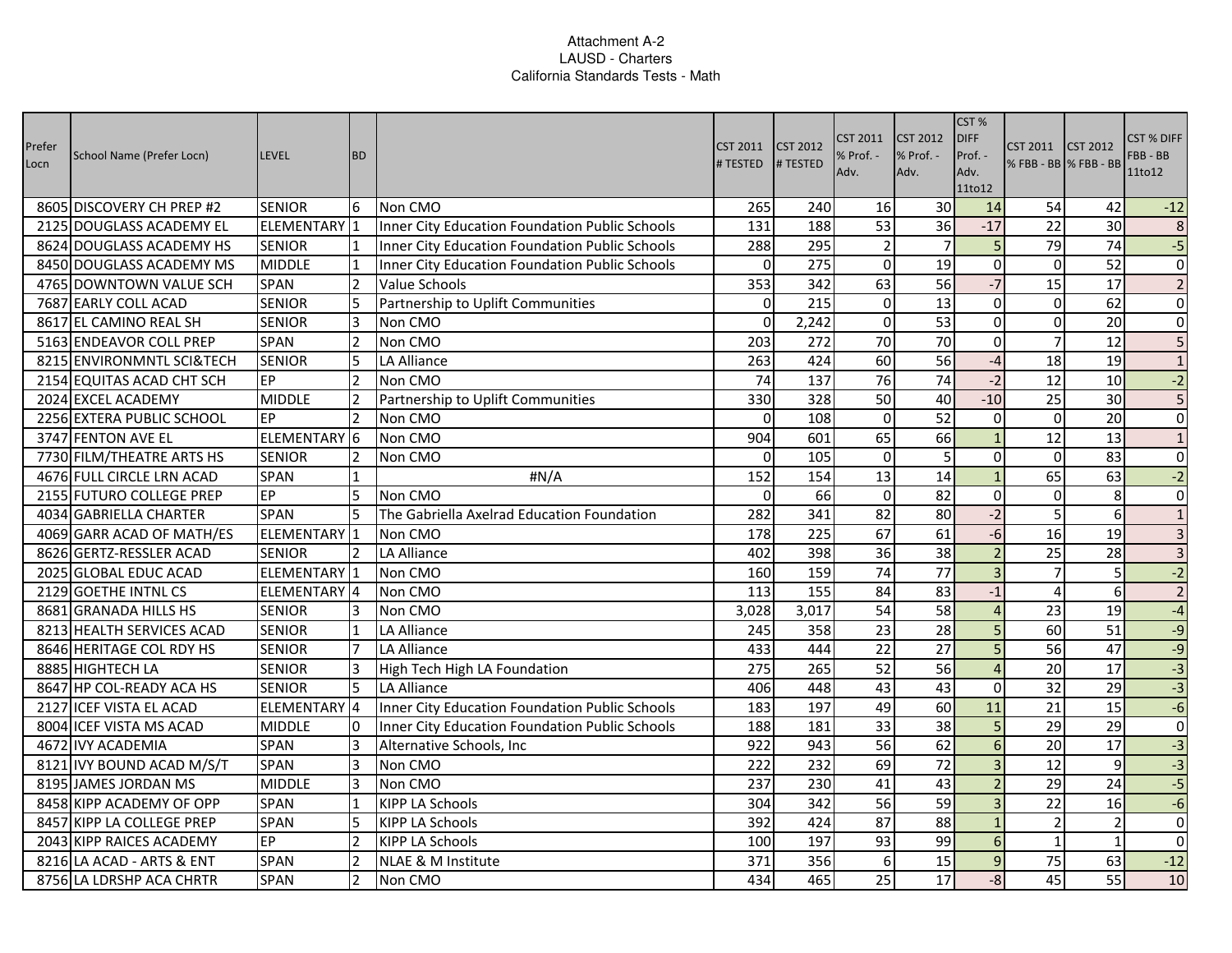| Prefer<br>Locn | School Name (Prefer Locn) | <b>LEVEL</b>            | <b>BD</b>      |                                                | CST 2011<br># TESTED | <b>CST 2012</b><br># TESTED | CST 2011<br>% Prof. -<br>Adv. | <b>CST 2012</b><br>% Prof. -<br>Adv. | CST %<br><b>DIFF</b><br>Prof. -<br>Adv.<br>11to12 | CST 2011 CST 2012<br>% FBB - BB   % FBB - BB |                 | CST % DIFF<br>FBB-BB<br>11to12 |
|----------------|---------------------------|-------------------------|----------------|------------------------------------------------|----------------------|-----------------------------|-------------------------------|--------------------------------------|---------------------------------------------------|----------------------------------------------|-----------------|--------------------------------|
|                | 8605 DISCOVERY CH PREP #2 | <b>SENIOR</b>           | 6              | Non CMO                                        | 265                  | 240                         | 16                            | 30                                   | 14                                                | 54                                           | 42              | $-12$                          |
|                | 2125 DOUGLASS ACADEMY EL  | ELEMENTARY 1            |                | Inner City Education Foundation Public Schools | 131                  | 188                         | 53                            | 36                                   | $-17$                                             | 22                                           | 30              | $\,$ 8 $\,$                    |
|                | 8624 DOUGLASS ACADEMY HS  | <b>SENIOR</b>           | 11             | Inner City Education Foundation Public Schools | 288                  | 295                         | $\overline{2}$                | $\overline{7}$                       | 5 <sub>l</sub>                                    | 79                                           | 74              | $-5$                           |
|                | 8450 DOUGLASS ACADEMY MS  | <b>MIDDLE</b>           | 11             | Inner City Education Foundation Public Schools | $\mathbf 0$          | 275                         | $\Omega$                      | 19                                   | $\overline{0}$                                    | $\overline{0}$                               | 52              | $\overline{0}$                 |
|                | 4765 DOWNTOWN VALUE SCH   | <b>SPAN</b>             | $\overline{2}$ | Value Schools                                  | 353                  | 342                         | 63                            | 56                                   | $-7$                                              | 15                                           | 17              | $\overline{2}$                 |
|                | 7687 EARLY COLL ACAD      | <b>SENIOR</b>           | 5              | Partnership to Uplift Communities              | $\Omega$             | 215                         | $\Omega$                      | 13                                   | $\Omega$                                          | $\Omega$                                     | 62              | $\overline{0}$                 |
|                | 8617 EL CAMINO REAL SH    | <b>SENIOR</b>           | 3              | Non CMO                                        | $\mathbf 0$          | 2,242                       | $\overline{0}$                | 53                                   | $\overline{0}$                                    | $\overline{0}$                               | 20              | $\pmb{0}$                      |
|                | 5163 ENDEAVOR COLL PREP   | SPAN                    | $\overline{2}$ | Non CMO                                        | 203                  | 272                         | 70                            | $\overline{70}$                      | $\overline{0}$                                    | $\overline{7}$                               | 12              | $\overline{\mathbf{5}}$        |
|                | 8215 ENVIRONMNTL SCI&TECH | <b>SENIOR</b>           | 5              | <b>LA Alliance</b>                             | 263                  | 424                         | 60                            | 56                                   | $-4$                                              | 18                                           | 19              | $\mathbf 1$                    |
|                | 2154 EQUITAS ACAD CHT SCH | EP                      | $\overline{2}$ | Non CMO                                        | $\overline{74}$      | $\frac{137}{ }$             | $\overline{76}$               | 74                                   | $-2$                                              | 12                                           | $\overline{10}$ | $-2$                           |
|                | 2024 EXCEL ACADEMY        | <b>MIDDLE</b>           | $\overline{2}$ | Partnership to Uplift Communities              | 330                  | 328                         | 50                            | 40                                   | $-10$                                             | 25                                           | 30              | $\overline{5}$                 |
|                | 2256 EXTERA PUBLIC SCHOOL | EP                      | $\overline{2}$ | Non CMO                                        | $\Omega$             | 108                         | $\Omega$                      | 52                                   | $\overline{0}$                                    | $\overline{0}$                               | $\overline{20}$ | $\overline{0}$                 |
|                | 3747 FENTON AVE EL        | ELEMENTARY 6            |                | Non CMO                                        | 904                  | 601                         | 65                            | 66                                   | $1\overline{ }$                                   | $\overline{12}$                              | 13              | $\overline{1}$                 |
|                | 7730 FILM/THEATRE ARTS HS | <b>SENIOR</b>           | $\overline{2}$ | Non CMO                                        | $\mathbf 0$          | 105                         | $\mathbf 0$                   | 5                                    | $\overline{0}$                                    | $\overline{0}$                               | $\overline{83}$ | $\overline{0}$                 |
|                | 4676 FULL CIRCLE LRN ACAD | SPAN                    | I1             | #N/A                                           | 152                  | 154                         | 13                            | 14                                   | $1\overline{ }$                                   | 65                                           | 63              | $-2$                           |
|                | 2155 FUTURO COLLEGE PREP  | EP                      | 5              | Non CMO                                        | $\mathbf 0$          | 66                          | $\Omega$                      | 82                                   | $\overline{0}$                                    | $\overline{0}$                               | 8               | $\pmb{0}$                      |
|                | 4034 GABRIELLA CHARTER    | <b>SPAN</b>             |                | The Gabriella Axelrad Education Foundation     | 282                  | 341                         | 82                            | 80                                   | $-2$                                              | 5                                            | 6               | $\mathbf{1}$                   |
|                | 4069 GARR ACAD OF MATH/ES | ELEMENTARY 1            |                | Non CMO                                        | 178                  | 225                         | 67                            | 61                                   | $-6$                                              | 16                                           | 19              | $\overline{3}$                 |
|                | 8626 GERTZ-RESSLER ACAD   | <b>SENIOR</b>           | $\overline{2}$ | LA Alliance                                    | 402                  | 398                         | $\overline{36}$               | $\overline{38}$                      | $\overline{2}$                                    | 25                                           | 28              | $\overline{3}$                 |
|                | 2025 GLOBAL EDUC ACAD     | ELEMENTARY 1            |                | Non CMO                                        | 160                  | 159                         | $\overline{74}$               | $\overline{77}$                      | $\overline{3}$                                    | $\overline{7}$                               | 5               | $-2$                           |
|                | 2129 GOETHE INTNL CS      | ELEMENTARY 4            |                | Non CMO                                        | 113                  | 155                         | 84                            | 83                                   | $-1$                                              | 4                                            | 6               | $\overline{2}$                 |
|                | 8681 GRANADA HILLS HS     | <b>SENIOR</b>           | 13             | Non CMO                                        | 3,028                | 3,017                       | 54                            | 58                                   | $\overline{4}$                                    | 23                                           | 19              | $-4$                           |
|                | 8213 HEALTH SERVICES ACAD | <b>SENIOR</b>           | 1              | <b>LA Alliance</b>                             | 245                  | 358                         | 23                            | 28                                   | 5 <sup>1</sup>                                    | 60                                           | 51              | $-9$                           |
|                | 8646 HERITAGE COL RDY HS  | <b>SENIOR</b>           | 7              | <b>LA Alliance</b>                             | 433                  | 444                         | $\overline{22}$               | $\overline{27}$                      | $\overline{5}$                                    | 56                                           | 47              | $-9$                           |
|                | 8885 HIGHTECH LA          | <b>SENIOR</b>           | 3              | High Tech High LA Foundation                   | 275                  | 265                         | $\overline{52}$               | 56                                   | $\overline{4}$                                    | 20                                           | 17              | $-3$                           |
|                | 8647 HP COL-READY ACA HS  | <b>SENIOR</b>           | 5              | LA Alliance                                    | 406                  | 448                         | 43                            | 43                                   | $\overline{0}$                                    | 32                                           | $\overline{29}$ | $-3$                           |
|                | 2127 ICEF VISTA EL ACAD   | ELEMENTARY <sup>4</sup> |                | Inner City Education Foundation Public Schools | 183                  | 197                         | 49                            | 60                                   | 11                                                | $\overline{21}$                              | 15              | $-6$                           |
|                | 8004 ICEF VISTA MS ACAD   | <b>MIDDLE</b>           | 10             | Inner City Education Foundation Public Schools | 188                  | 181                         | 33                            | 38                                   | 5 <sup>1</sup>                                    | 29                                           | 29              | $\pmb{0}$                      |
|                | 4672 IVY ACADEMIA         | SPAN                    | $\overline{3}$ | Alternative Schools, Inc                       | 922                  | 943                         | 56                            | 62                                   | $6 \overline{6}$                                  | 20                                           | $\overline{17}$ | $-3$                           |
|                | 8121 IVY BOUND ACAD M/S/T | SPAN                    | 3              | Non CMO                                        | 222                  | 232                         | 69                            | 72                                   | $\overline{3}$                                    | 12                                           | 9               | $-3$                           |
|                | 8195 JAMES JORDAN MS      | <b>MIDDLE</b>           | 13             | Non CMO                                        | 237                  | 230                         | 41                            | 43                                   | $\overline{2}$                                    | 29                                           | 24              | $-5$                           |
|                | 8458 KIPP ACADEMY OF OPP  | SPAN                    | 1              | <b>KIPP LA Schools</b>                         | 304                  | 342                         | 56                            | 59                                   | $\overline{3}$                                    | 22                                           | 16              | $-6$                           |
|                | 8457 KIPP LA COLLEGE PREP | SPAN                    | 5              | <b>KIPP LA Schools</b>                         | 392                  | 424                         | 87                            | 88                                   | $\mathbf{1}$                                      | $\overline{2}$                               | $\overline{2}$  | $\mathbf 0$                    |
|                | 2043 KIPP RAICES ACADEMY  | EP                      | $\overline{2}$ | <b>KIPP LA Schools</b>                         | 100                  | 197                         | 93                            | 99                                   | $6 \overline{6}$                                  | $\mathbf{1}$                                 | $\mathbf{1}$    | $\pmb{0}$                      |
|                | 8216 LA ACAD - ARTS & ENT | SPAN                    | $\overline{2}$ | NLAE & M Institute                             | 371                  | 356                         | 6                             | 15                                   | 9                                                 | 75                                           | 63              | $-12$                          |
|                | 8756 LA LDRSHP ACA CHRTR  | SPAN                    | $\overline{2}$ | Non CMO                                        | 434                  | 465                         | $\overline{25}$               | $\overline{17}$                      | $-8$                                              | 45                                           | $\overline{55}$ | 10                             |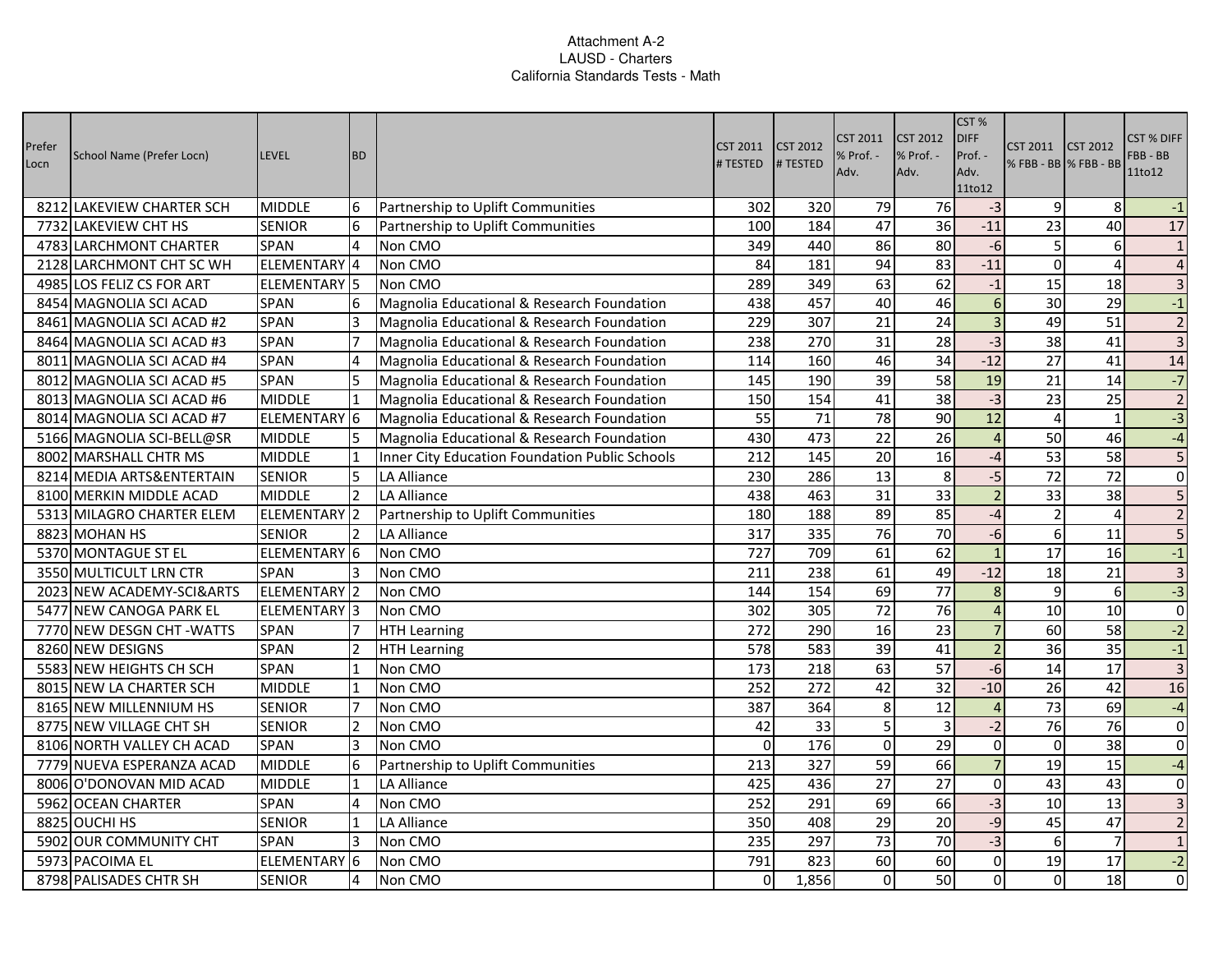| Prefer<br>Locn | School Name (Prefer Locn)  | <b>LEVEL</b>            | <b>BD</b>      |                                                | <b>CST 2011</b><br># TESTED | <b>CST 2012</b><br># TESTED | CST 2011<br>% Prof. -<br>Adv. | <b>CST 2012</b><br>% Prof. -<br>Adv. | CST%<br><b>DIFF</b><br>Prof. -<br>Adv.<br>11to12 | <b>CST 2011</b><br>% FBB - BB % FBB - BB | <b>CST 2012</b> | <b>CST % DIFF</b><br>FBB - BB<br>11to12 |
|----------------|----------------------------|-------------------------|----------------|------------------------------------------------|-----------------------------|-----------------------------|-------------------------------|--------------------------------------|--------------------------------------------------|------------------------------------------|-----------------|-----------------------------------------|
|                | 8212 LAKEVIEW CHARTER SCH  | <b>MIDDLE</b>           | 6              | Partnership to Uplift Communities              | 302                         | 320                         | 79                            | 76                                   | $-3$                                             | $\overline{9}$                           | 8               | $-1$                                    |
|                | 7732 LAKEVIEW CHT HS       | <b>SENIOR</b>           | 6              | Partnership to Uplift Communities              | 100                         | 184                         | 47                            | $\overline{36}$                      | $-11$                                            | $\overline{23}$                          | $\overline{40}$ | $\overline{17}$                         |
|                | 4783 LARCHMONT CHARTER     | <b>SPAN</b>             | 4              | Non CMO                                        | 349                         | 440                         | 86                            | 80                                   | $-6$                                             | $\overline{5}$                           | 6               | $\mathbf{1}$                            |
|                | 2128 LARCHMONT CHT SC WH   | ELEMENTARY 4            |                | Non CMO                                        | 84                          | 181                         | 94                            | 83                                   | $-11$                                            | $\Omega$                                 | $\overline{4}$  | $\overline{a}$                          |
|                | 4985 LOS FELIZ CS FOR ART  | ELEMENTARY <sup>5</sup> |                | Non CMO                                        | 289                         | 349                         | 63                            | 62                                   | $^{\rm -1}$                                      | 15                                       | 18              | $\overline{\mathbf{3}}$                 |
|                | 8454 MAGNOLIA SCI ACAD     | SPAN                    | 6              | Magnolia Educational & Research Foundation     | 438                         | 457                         | 40                            | 46                                   | $6 \overline{6}$                                 | 30                                       | 29              | $-1$                                    |
|                | 8461 MAGNOLIA SCI ACAD #2  | SPAN                    | 3              | Magnolia Educational & Research Foundation     | 229                         | 307                         | $\overline{21}$               | $\overline{24}$                      | $\overline{3}$                                   | 49                                       | $\overline{51}$ | $\overline{2}$                          |
|                | 8464 MAGNOLIA SCI ACAD #3  | SPAN                    | $\overline{7}$ | Magnolia Educational & Research Foundation     | 238                         | 270                         | 31                            | 28                                   | $-3$                                             | 38                                       | 41              | $\overline{\mathbf{3}}$                 |
|                | 8011 MAGNOLIA SCI ACAD #4  | <b>SPAN</b>             |                | Magnolia Educational & Research Foundation     | 114                         | 160                         | 46                            | 34                                   | $-12$                                            | $\overline{27}$                          | 41              | 14                                      |
|                | 8012 MAGNOLIA SCI ACAD #5  | <b>SPAN</b>             | 5              | Magnolia Educational & Research Foundation     | 145                         | 190                         | $\overline{39}$               | $\overline{58}$                      | 19                                               | $\overline{21}$                          | 14              | $-7$                                    |
|                | 8013 MAGNOLIA SCI ACAD #6  | <b>MIDDLE</b>           | $\mathbf{1}$   | Magnolia Educational & Research Foundation     | 150                         | 154                         | 41                            | 38                                   | $-3$                                             | $\overline{23}$                          | $\overline{25}$ | $\overline{2}$                          |
|                | 8014 MAGNOLIA SCI ACAD #7  | ELEMENTARY 6            |                | Magnolia Educational & Research Foundation     | 55                          | 71                          | $\overline{78}$               | 90                                   | 12                                               | $\overline{4}$                           | $\mathbf{1}$    | $-3$                                    |
|                | 5166 MAGNOLIA SCI-BELL@SR  | <b>MIDDLE</b>           |                | Magnolia Educational & Research Foundation     | 430                         | 473                         | $\overline{22}$               | $\overline{26}$                      | $\overline{4}$                                   | 50                                       | 46              | $-4$                                    |
|                | 8002 MARSHALL CHTR MS      | <b>MIDDLE</b>           | 11             | Inner City Education Foundation Public Schools | 212                         | 145                         | $\overline{20}$               | $\overline{16}$                      | $-4$                                             | 53                                       | 58              | 5                                       |
|                | 8214 MEDIA ARTS&ENTERTAIN  | <b>SENIOR</b>           | 5              | <b>LA Alliance</b>                             | 230                         | 286                         | 13                            | 8                                    | $-5$                                             | 72                                       | 72              | $\mathbf 0$                             |
|                | 8100 MERKIN MIDDLE ACAD    | <b>MIDDLE</b>           | $\overline{2}$ | <b>LA Alliance</b>                             | 438                         | 463                         | $\overline{31}$               | $\overline{33}$                      | $\overline{2}$                                   | 33                                       | $\overline{38}$ |                                         |
|                | 5313 MILAGRO CHARTER ELEM  | ELEMENTARY <sup>2</sup> |                | Partnership to Uplift Communities              | 180                         | 188                         | 89                            | 85                                   | $-4$                                             | $\overline{2}$                           | $\overline{4}$  | $\overline{2}$                          |
|                | 8823 MOHAN HS              | <b>SENIOR</b>           | $\overline{2}$ | <b>LA Alliance</b>                             | 317                         | 335                         | 76                            | 70                                   | $-6$                                             | 6                                        | 11              | $\overline{5}$                          |
|                | 5370 MONTAGUE ST EL        | ELEMENTARY 6            |                | Non CMO                                        | 727                         | 709                         | $\overline{61}$               | $\overline{62}$                      | $\mathbf{1}$                                     | 17                                       | 16              | $-1$                                    |
|                | 3550 MULTICULT LRN CTR     | <b>SPAN</b>             | 3              | Non CMO                                        | 211                         | 238                         | 61                            | 49                                   | $-12$                                            | 18                                       | $\overline{21}$ | $\overline{3}$                          |
|                | 2023 NEW ACADEMY-SCI&ARTS  | ELEMENTARY 2            |                | Non CMO                                        | 144                         | 154                         | 69                            | 77                                   | 8                                                | $\overline{9}$                           | 6               | $-3$                                    |
|                | 5477 NEW CANOGA PARK EL    | ELEMENTARY <sup>3</sup> |                | Non CMO                                        | 302                         | 305                         | $\overline{72}$               | 76                                   | $\overline{4}$                                   | 10                                       | $\overline{10}$ | $\overline{0}$                          |
|                | 7770 NEW DESGN CHT - WATTS | <b>SPAN</b>             | 17             | <b>HTH Learning</b>                            | 272                         | 290                         | 16                            | 23                                   | $\overline{7}$                                   | 60                                       | 58              | $-2$                                    |
|                | 8260 NEW DESIGNS           | SPAN                    | $\overline{2}$ | <b>HTH Learning</b>                            | 578                         | 583                         | 39                            | 41                                   | $\overline{2}$                                   | 36                                       | 35              | $-1$                                    |
|                | 5583 NEW HEIGHTS CH SCH    | SPAN                    | l1             | Non CMO                                        | 173                         | 218                         | 63                            | $\overline{57}$                      | $-6$                                             | 14                                       | 17              | $\overline{3}$                          |
|                | 8015 NEW LA CHARTER SCH    | <b>MIDDLE</b>           | $\mathbf{1}$   | Non CMO                                        | 252                         | 272                         | 42                            | $\overline{32}$                      | $-10$                                            | 26                                       | 42              | 16                                      |
|                | 8165 NEW MILLENNIUM HS     | <b>SENIOR</b>           | $\overline{7}$ | Non CMO                                        | 387                         | 364                         | 8                             | $\overline{12}$                      | $\overline{4}$                                   | 73                                       | 69              | $-4$                                    |
|                | 8775 NEW VILLAGE CHT SH    | <b>SENIOR</b>           | $\overline{2}$ | Non CMO                                        | 42                          | 33                          | 5                             | 3                                    | $-2$                                             | 76                                       | 76              | $\mathbf 0$                             |
|                | 8106 NORTH VALLEY CH ACAD  | <b>SPAN</b>             | $\overline{3}$ | Non CMO                                        | $\Omega$                    | 176                         | $\Omega$                      | 29                                   | $\overline{0}$                                   | $\overline{0}$                           | 38              | $\mathbf 0$                             |
|                | 7779 NUEVA ESPERANZA ACAD  | <b>MIDDLE</b>           | 6              | Partnership to Uplift Communities              | 213                         | 327                         | 59                            | 66                                   | $\overline{7}$                                   | 19                                       | $\overline{15}$ | $-4$                                    |
|                | 8006 O'DONOVAN MID ACAD    | <b>MIDDLE</b>           | $\mathbf{1}$   | <b>LA Alliance</b>                             | 425                         | 436                         | 27                            | 27                                   | $\Omega$                                         | 43                                       | 43              | $\mathbf 0$                             |
|                | 5962 OCEAN CHARTER         | SPAN                    | $\overline{4}$ | Non CMO                                        | 252                         | 291                         | 69                            | 66                                   | $-3$                                             | 10                                       | 13              | $\overline{\mathbf{3}}$                 |
|                | 8825 OUCHI HS              | <b>SENIOR</b>           | $\vert$ 1      | <b>LA Alliance</b>                             | 350                         | 408                         | $\overline{29}$               | 20                                   | $-9$                                             | 45                                       | 47              | $\overline{2}$                          |
|                | 5902 OUR COMMUNITY CHT     | <b>SPAN</b>             | 3              | Non CMO                                        | 235                         | 297                         | 73                            | 70                                   | $-3$                                             | $6 \mid$                                 | $\overline{7}$  | $\mathbf{1}$                            |
|                | 5973 PACOIMA EL            | ELEMENTARY 6            |                | Non CMO                                        | 791                         | 823                         | 60                            | 60                                   | $\overline{0}$                                   | 19                                       | 17              | $-2$                                    |
|                | 8798 PALISADES CHTR SH     | <b>SENIOR</b>           | 4              | Non CMO                                        | $\mathbf 0$                 | 1,856                       | $\Omega$                      | 50                                   | $\Omega$                                         | $\overline{0}$                           | 18              | $\boldsymbol{0}$                        |